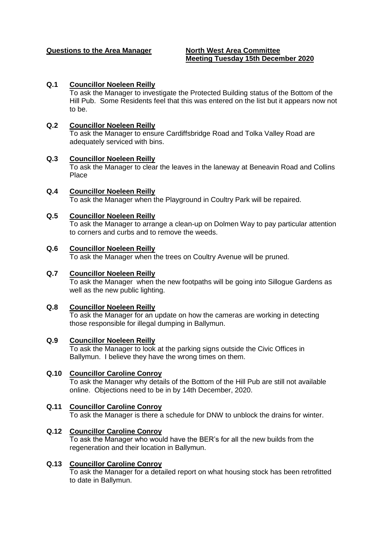## **Questions to the Area Manager North West Area Committee**

# **Meeting Tuesday 15th December 2020**

## **Q.1 Councillor Noeleen Reilly**

To ask the Manager to investigate the Protected Building status of the Bottom of the Hill Pub. Some Residents feel that this was entered on the list but it appears now not to be.

#### **Q.2 Councillor Noeleen Reilly**

To ask the Manager to ensure Cardiffsbridge Road and Tolka Valley Road are adequately serviced with bins.

## **Q.3 Councillor Noeleen Reilly**

To ask the Manager to clear the leaves in the laneway at Beneavin Road and Collins Place

**Q.4 Councillor Noeleen Reilly**  To ask the Manager when the Playground in Coultry Park will be repaired.

## **Q.5 Councillor Noeleen Reilly**

To ask the Manager to arrange a clean-up on Dolmen Way to pay particular attention to corners and curbs and to remove the weeds.

#### **Q.6 Councillor Noeleen Reilly**

To ask the Manager when the trees on Coultry Avenue will be pruned.

#### **Q.7 Councillor Noeleen Reilly**

To ask the Manager when the new footpaths will be going into Sillogue Gardens as well as the new public lighting.

## **Q.8 Councillor Noeleen Reilly**

To ask the Manager for an update on how the cameras are working in detecting those responsible for illegal dumping in Ballymun.

#### **Q.9 Councillor Noeleen Reilly**

To ask the Manager to look at the parking signs outside the Civic Offices in Ballymun. I believe they have the wrong times on them.

#### **Q.10 Councillor Caroline Conroy**

To ask the Manager why details of the Bottom of the Hill Pub are still not available online. Objections need to be in by 14th December, 2020.

## **Q.11 Councillor Caroline Conroy**

To ask the Manager is there a schedule for DNW to unblock the drains for winter.

#### **Q.12 Councillor Caroline Conroy**

To ask the Manager who would have the BER's for all the new builds from the regeneration and their location in Ballymun.

#### **Q.13 Councillor Caroline Conroy**

To ask the Manager for a detailed report on what housing stock has been retrofitted to date in Ballymun.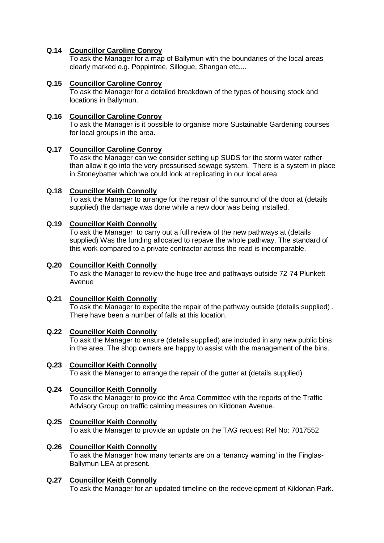# **Q.14 Councillor Caroline Conroy**

To ask the Manager for a map of Ballymun with the boundaries of the local areas clearly marked e.g. Poppintree, Sillogue, Shangan etc....

## **Q.15 Councillor Caroline Conroy**

To ask the Manager for a detailed breakdown of the types of housing stock and locations in Ballymun.

## **Q.16 Councillor Caroline Conroy**

To ask the Manager is it possible to organise more Sustainable Gardening courses for local groups in the area.

# **Q.17 Councillor Caroline Conroy**

To ask the Manager can we consider setting up SUDS for the storm water rather than allow it go into the very pressurised sewage system. There is a system in place in Stoneybatter which we could look at replicating in our local area.

# **Q.18 Councillor Keith Connolly**

To ask the Manager to arrange for the repair of the surround of the door at (details supplied) the damage was done while a new door was being installed.

# **Q.19 Councillor Keith Connolly**

To ask the Manager to carry out a full review of the new pathways at (details supplied) Was the funding allocated to repave the whole pathway. The standard of this work compared to a private contractor across the road is incomparable.

## **Q.20 Councillor Keith Connolly**

To ask the Manager to review the huge tree and pathways outside 72-74 Plunkett Avenue

## **Q.21 Councillor Keith Connolly**

To ask the Manager to expedite the repair of the pathway outside (details supplied) . There have been a number of falls at this location.

## **Q.22 Councillor Keith Connolly**

To ask the Manager to ensure (details supplied) are included in any new public bins in the area. The shop owners are happy to assist with the management of the bins.

## **Q.23 Councillor Keith Connolly**

To ask the Manager to arrange the repair of the gutter at (details supplied)

## **Q.24 Councillor Keith Connolly**

To ask the Manager to provide the Area Committee with the reports of the Traffic Advisory Group on traffic calming measures on Kildonan Avenue.

## **Q.25 Councillor Keith Connolly**

To ask the Manager to provide an update on the TAG request Ref No: 7017552

## **Q.26 Councillor Keith Connolly**

To ask the Manager how many tenants are on a 'tenancy warning' in the Finglas-Ballymun LEA at present.

## **Q.27 Councillor Keith Connolly**

To ask the Manager for an updated timeline on the redevelopment of Kildonan Park.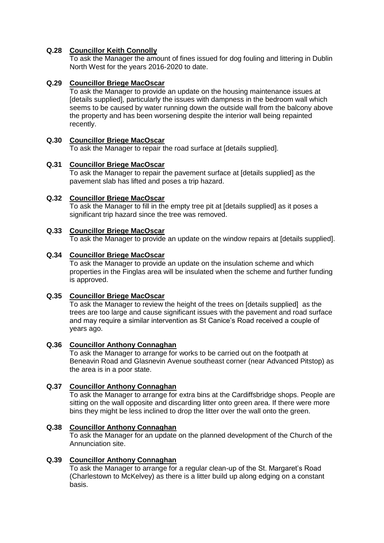# **Q.28 Councillor Keith Connolly**

To ask the Manager the amount of fines issued for dog fouling and littering in Dublin North West for the years 2016-2020 to date.

# **Q.29 Councillor Briege MacOscar**

To ask the Manager to provide an update on the housing maintenance issues at [details supplied], particularly the issues with dampness in the bedroom wall which seems to be caused by water running down the outside wall from the balcony above the property and has been worsening despite the interior wall being repainted recently.

## **Q.30 Councillor Briege MacOscar**

To ask the Manager to repair the road surface at [details supplied].

## **Q.31 Councillor Briege MacOscar**

To ask the Manager to repair the pavement surface at [details supplied] as the pavement slab has lifted and poses a trip hazard.

## **Q.32 Councillor Briege MacOscar**

To ask the Manager to fill in the empty tree pit at [details supplied] as it poses a significant trip hazard since the tree was removed.

## **Q.33 Councillor Briege MacOscar**

To ask the Manager to provide an update on the window repairs at [details supplied].

#### **Q.34 Councillor Briege MacOscar**

To ask the Manager to provide an update on the insulation scheme and which properties in the Finglas area will be insulated when the scheme and further funding is approved.

## **Q.35 Councillor Briege MacOscar**

To ask the Manager to review the height of the trees on [details supplied] as the trees are too large and cause significant issues with the pavement and road surface and may require a similar intervention as St Canice's Road received a couple of years ago.

## **Q.36 Councillor Anthony Connaghan**

To ask the Manager to arrange for works to be carried out on the footpath at Beneavin Road and Glasnevin Avenue southeast corner (near Advanced Pitstop) as the area is in a poor state.

## **Q.37 Councillor Anthony Connaghan**

To ask the Manager to arrange for extra bins at the Cardiffsbridge shops. People are sitting on the wall opposite and discarding litter onto green area. If there were more bins they might be less inclined to drop the litter over the wall onto the green.

## **Q.38 Councillor Anthony Connaghan**

To ask the Manager for an update on the planned development of the Church of the Annunciation site.

## **Q.39 Councillor Anthony Connaghan**

To ask the Manager to arrange for a regular clean-up of the St. Margaret's Road (Charlestown to McKelvey) as there is a litter build up along edging on a constant basis.